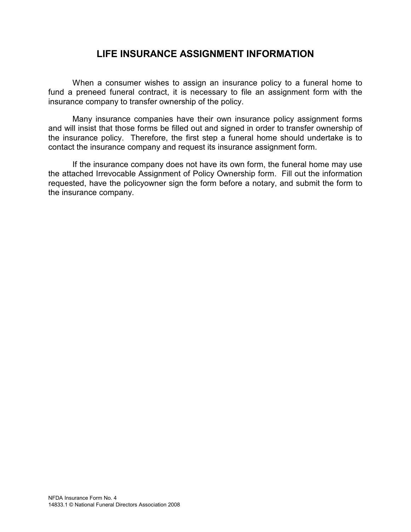## LIFE INSURANCE ASSIGNMENT INFORMATION

When a consumer wishes to assign an insurance policy to a funeral home to fund a preneed funeral contract, it is necessary to file an assignment form with the insurance company to transfer ownership of the policy.

Many insurance companies have their own insurance policy assignment forms and will insist that those forms be filled out and signed in order to transfer ownership of the insurance policy. Therefore, the first step a funeral home should undertake is to contact the insurance company and request its insurance assignment form.

If the insurance company does not have its own form, the funeral home may use the attached Irrevocable Assignment of Policy Ownership form. Fill out the information requested, have the policyowner sign the form before a notary, and submit the form to the insurance company.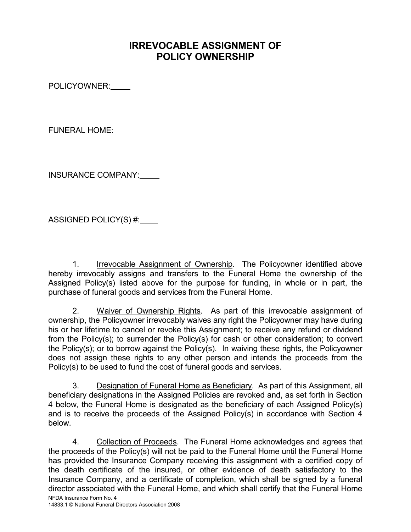## IRREVOCABLE ASSIGNMENT OF POLICY OWNERSHIP

POLICYOWNER:

FUNERAL HOME:

INSURANCE COMPANY:

ASSIGNED POLICY(S) #:

 1. Irrevocable Assignment of Ownership. The Policyowner identified above hereby irrevocably assigns and transfers to the Funeral Home the ownership of the Assigned Policy(s) listed above for the purpose for funding, in whole or in part, the purchase of funeral goods and services from the Funeral Home.

 2. Waiver of Ownership Rights. As part of this irrevocable assignment of ownership, the Policyowner irrevocably waives any right the Policyowner may have during his or her lifetime to cancel or revoke this Assignment; to receive any refund or dividend from the Policy(s); to surrender the Policy(s) for cash or other consideration; to convert the Policy(s); or to borrow against the Policy(s). In waiving these rights, the Policyowner does not assign these rights to any other person and intends the proceeds from the Policy(s) to be used to fund the cost of funeral goods and services.

 3. Designation of Funeral Home as Beneficiary. As part of this Assignment, all beneficiary designations in the Assigned Policies are revoked and, as set forth in Section 4 below, the Funeral Home is designated as the beneficiary of each Assigned Policy(s) and is to receive the proceeds of the Assigned Policy(s) in accordance with Section 4 below.

NFDA Insurance Form No. 4 4. Collection of Proceeds. The Funeral Home acknowledges and agrees that the proceeds of the Policy(s) will not be paid to the Funeral Home until the Funeral Home has provided the Insurance Company receiving this assignment with a certified copy of the death certificate of the insured, or other evidence of death satisfactory to the Insurance Company, and a certificate of completion, which shall be signed by a funeral director associated with the Funeral Home, and which shall certify that the Funeral Home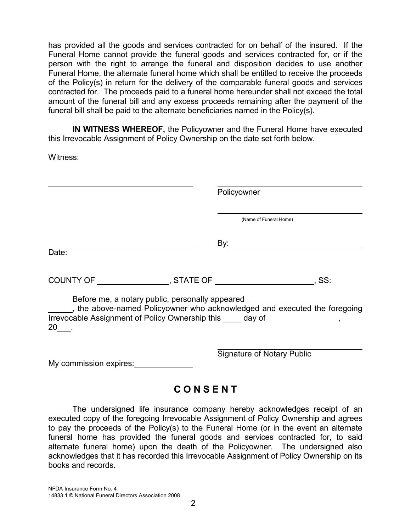has provided all the goods and services contracted for on behalf of the insured. If the Funeral Home cannot provide the funeral goods and services contracted for, or if the person with the right to arrange the funeral and disposition decides to use another Funeral Home, the alternate funeral home which shall be entitled to receive the proceeds of the Policy(s) in return for the delivery of the comparable funeral goods and services contracted for. The proceeds paid to a funeral home hereunder shall not exceed the total amount of the funeral bill and any excess proceeds remaining after the payment of the funeral bill shall be paid to the alternate beneficiaries named in the Policy(s).

 IN WITNESS WHEREOF, the Policyowner and the Funeral Home have executed this Irrevocable Assignment of Policy Ownership on the date set forth below.

Witness:

|                                                                                              | Policyowner                                     |                                                                         |
|----------------------------------------------------------------------------------------------|-------------------------------------------------|-------------------------------------------------------------------------|
|                                                                                              |                                                 | (Name of Funeral Home)                                                  |
| Date:                                                                                        |                                                 | <u>By:__________________________</u>                                    |
|                                                                                              |                                                 |                                                                         |
|                                                                                              |                                                 |                                                                         |
| Irrevocable Assignment of Policy Ownership this _____ day of __________________,<br>$20$ __. | Before me, a notary public, personally appeared | the above-named Policyowner who acknowledged and executed the foregoing |
| My commission expires:                                                                       |                                                 | <b>Signature of Notary Public</b>                                       |

## **CONSENT**

 The undersigned life insurance company hereby acknowledges receipt of an executed copy of the foregoing Irrevocable Assignment of Policy Ownership and agrees to pay the proceeds of the Policy(s) to the Funeral Home (or in the event an alternate funeral home has provided the funeral goods and services contracted for, to said alternate funeral home) upon the death of the Policyowner. The undersigned also acknowledges that it has recorded this Irrevocable Assignment of Policy Ownership on its books and records.